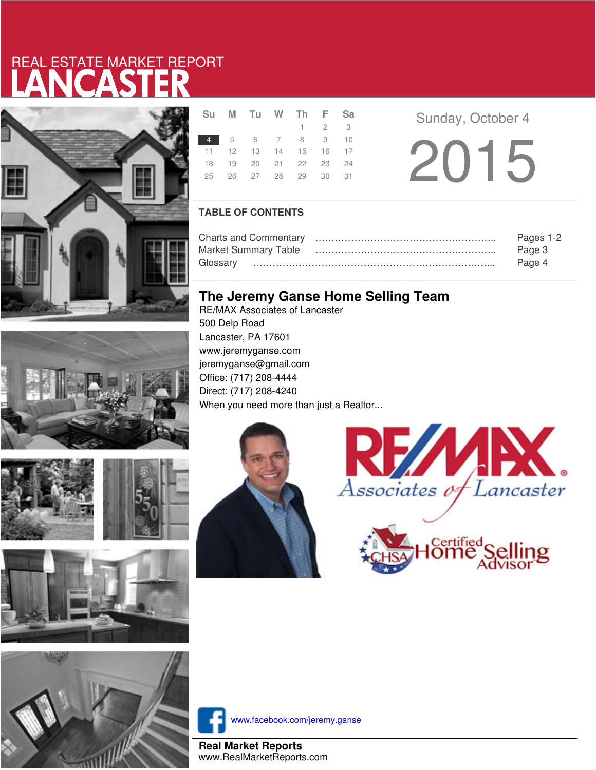# LANCASTER REAL ESTATE MARKET REPORT









|  | Su M Tu W Th F Sa          |  |             |  |  |
|--|----------------------------|--|-------------|--|--|
|  |                            |  | $1 \t2 \t3$ |  |  |
|  | 4 5 6 7 8 9 10             |  |             |  |  |
|  | 11  12  13  14  15  16  17 |  |             |  |  |
|  | 18 19 20 21 22 23 24       |  |             |  |  |
|  | 25  26  27  28  29  30  31 |  |             |  |  |
|  |                            |  |             |  |  |

**Sunday, October 4** 2015

### **TABLE OF CONTENTS**

|                      | Pages 1-2 |
|----------------------|-----------|
| Market Summary Table | Page 3    |
|                      | Page 4    |

## **The Jeremy Ganse Home Selling Team**

RE/MAX Associates of Lancaster 500 Delp Road Lancaster, PA 17601 www.jeremyganse.com jeremyganse@gmail.com Office: (717) 208-4444 Direct: (717) 208-4240 When you need more than just a Realtor...







www.facebook.com/jeremy.ganse

**Real Market Reports** www.RealMarketReports.com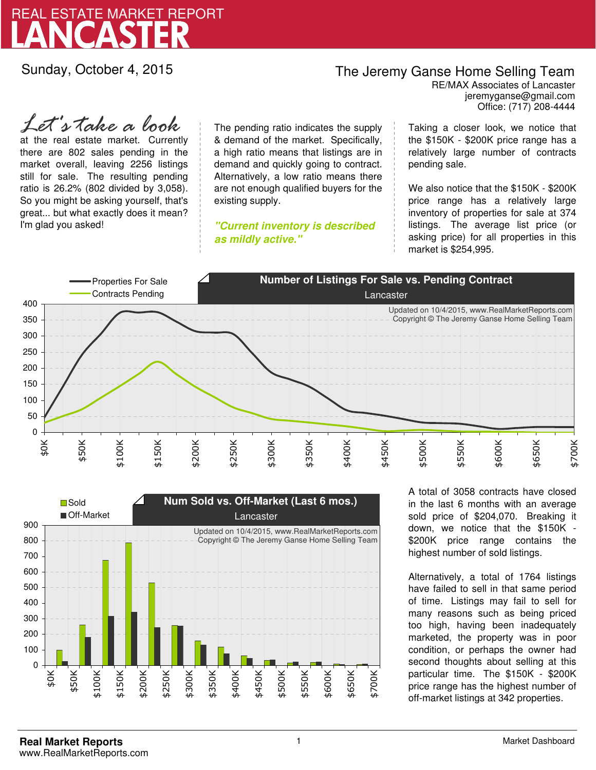

Sunday, October 4, 2015

## The Jeremy Ganse Home Selling Team

jeremyganse@gmail.com RE/MAX Associates of Lancaster Office: (717) 208-4444

at the real estate market. Currently there are 802 sales pending in the market overall, leaving 2256 listings still for sale. The resulting pending ratio is 26.2% (802 divided by 3,058). So you might be asking yourself, that's great... but what exactly does it mean? I'm glad you asked! *Let's take a look*

The pending ratio indicates the supply & demand of the market. Specifically, a high ratio means that listings are in demand and quickly going to contract. Alternatively, a low ratio means there are not enough qualified buyers for the existing supply.

**"Current inventory is described as mildly active."**

Taking a closer look, we notice that the \$150K - \$200K price range has a relatively large number of contracts pending sale.

We also notice that the \$150K - \$200K price range has a relatively large inventory of properties for sale at 374 listings. The average list price (or asking price) for all properties in this market is \$254,995.





A total of 3058 contracts have closed in the last 6 months with an average sold price of \$204,070. Breaking it down, we notice that the \$150K - \$200K price range contains the highest number of sold listings.

Alternatively, a total of 1764 listings have failed to sell in that same period of time. Listings may fail to sell for many reasons such as being priced too high, having been inadequately marketed, the property was in poor condition, or perhaps the owner had second thoughts about selling at this particular time. The \$150K - \$200K price range has the highest number of off-market listings at 342 properties.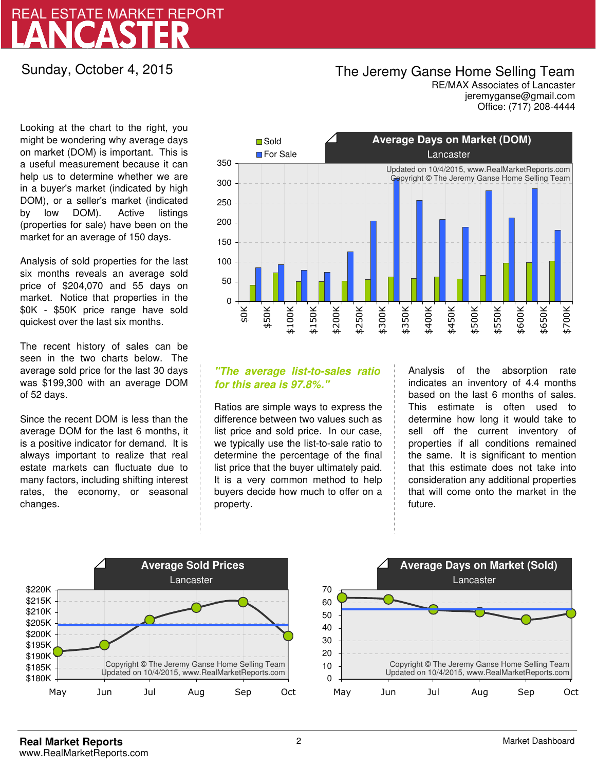# LANCASTER REAL ESTATE MARKET REPORT

## Sunday, October 4, 2015

# The Jeremy Ganse Home Selling Team

jeremyganse@gmail.com RE/MAX Associates of Lancaster Office: (717) 208-4444

Looking at the chart to the right, you might be wondering why average days on market (DOM) is important. This is a useful measurement because it can help us to determine whether we are in a buyer's market (indicated by high DOM), or a seller's market (indicated by low DOM). Active listings (properties for sale) have been on the market for an average of 150 days.

Analysis of sold properties for the last six months reveals an average sold price of \$204,070 and 55 days on market. Notice that properties in the \$0K - \$50K price range have sold quickest over the last six months.

The recent history of sales can be seen in the two charts below. The average sold price for the last 30 days was \$199,300 with an average DOM of 52 days.

Since the recent DOM is less than the average DOM for the last 6 months, it is a positive indicator for demand. It is always important to realize that real estate markets can fluctuate due to many factors, including shifting interest rates, the economy, or seasonal changes.



### **"The average list-to-sales ratio for this area is 97.8%."**

Ratios are simple ways to express the difference between two values such as list price and sold price. In our case, we typically use the list-to-sale ratio to determine the percentage of the final list price that the buyer ultimately paid. It is a very common method to help buyers decide how much to offer on a property.

Analysis of the absorption rate indicates an inventory of 4.4 months based on the last 6 months of sales. This estimate is often used to determine how long it would take to sell off the current inventory of properties if all conditions remained the same. It is significant to mention that this estimate does not take into consideration any additional properties that will come onto the market in the future.



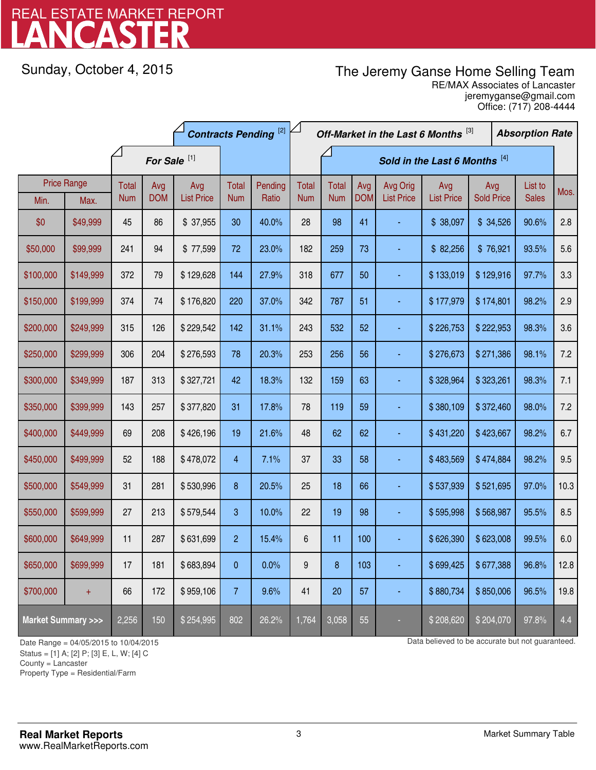# LANCASTER REAL ESTATE MARKET REPORT

Sunday, October 4, 2015

# The Jeremy Ganse Home Selling Team

jeremyganse@gmail.com RE/MAX Associates of Lancaster Office: (717) 208-4444

|                                    | <b>Contracts Pending [2]</b> |                     |                   |                          |                     | Off-Market in the Last 6 Months [3]<br><b>Absorption Rate</b> |                     |                               |                   |                               |                          |                          |  |                         |      |
|------------------------------------|------------------------------|---------------------|-------------------|--------------------------|---------------------|---------------------------------------------------------------|---------------------|-------------------------------|-------------------|-------------------------------|--------------------------|--------------------------|--|-------------------------|------|
|                                    |                              |                     |                   | For Sale <sup>[1]</sup>  |                     |                                                               |                     | Sold in the Last 6 Months [4] |                   |                               |                          |                          |  |                         |      |
| Min.                               | <b>Price Range</b><br>Max.   | Total<br><b>Num</b> | Avg<br><b>DOM</b> | Avg<br><b>List Price</b> | Total<br><b>Num</b> | Pending<br>Ratio                                              | Total<br><b>Num</b> | <b>Total</b><br><b>Num</b>    | Avg<br><b>DOM</b> | Avg Orig<br><b>List Price</b> | Avg<br><b>List Price</b> | Avg<br><b>Sold Price</b> |  | List to<br><b>Sales</b> | Mos. |
| \$0                                | \$49,999                     | 45                  | 86                | \$37,955                 | 30                  | 40.0%                                                         | 28                  | 98                            | 41                |                               | \$38,097                 | \$34,526                 |  | 90.6%                   | 2.8  |
| \$50,000                           | \$99,999                     | 241                 | 94                | \$77,599                 | 72                  | 23.0%                                                         | 182                 | 259                           | 73                |                               | \$82,256                 | \$76,921                 |  | 93.5%                   | 5.6  |
| \$100,000                          | \$149,999                    | 372                 | 79                | \$129,628                | 144                 | 27.9%                                                         | 318                 | 677                           | 50                |                               | \$133,019                | \$129,916                |  | 97.7%                   | 3.3  |
| \$150,000                          | \$199,999                    | 374                 | 74                | \$176,820                | 220                 | 37.0%                                                         | 342                 | 787                           | 51                |                               | \$177,979                | \$174,801                |  | 98.2%                   | 2.9  |
| \$200,000                          | \$249,999                    | 315                 | 126               | \$229,542                | 142                 | 31.1%                                                         | 243                 | 532                           | 52                |                               | \$226,753                | \$222,953                |  | 98.3%                   | 3.6  |
| \$250,000                          | \$299,999                    | 306                 | 204               | \$276,593                | 78                  | 20.3%                                                         | 253                 | 256                           | 56                |                               | \$276,673                | \$271,386                |  | 98.1%                   | 7.2  |
| \$300,000                          | \$349,999                    | 187                 | 313               | \$327,721                | 42                  | 18.3%                                                         | 132                 | 159                           | 63                |                               | \$328,964                | \$323,261                |  | 98.3%                   | 7.1  |
| \$350,000                          | \$399,999                    | 143                 | 257               | \$377,820                | 31                  | 17.8%                                                         | 78                  | 119                           | 59                |                               | \$380,109                | \$372,460                |  | 98.0%                   | 7.2  |
| \$400,000                          | \$449,999                    | 69                  | 208               | \$426,196                | 19                  | 21.6%                                                         | 48                  | 62                            | 62                |                               | \$431,220                | \$423,667                |  | 98.2%                   | 6.7  |
| \$450,000                          | \$499,999                    | 52                  | 188               | \$478,072                | 4                   | 7.1%                                                          | 37                  | 33                            | 58                | ä,                            | \$483,569                | \$474,884                |  | 98.2%                   | 9.5  |
| \$500,000                          | \$549,999                    | 31                  | 281               | \$530,996                | 8                   | 20.5%                                                         | 25                  | 18                            | 66                |                               | \$537,939                | \$521,695                |  | 97.0%                   | 10.3 |
| \$550,000                          | \$599,999                    | 27                  | 213               | \$579,544                | 3                   | 10.0%                                                         | 22                  | 19                            | 98                |                               | \$595,998                | \$568,987                |  | 95.5%                   | 8.5  |
| \$600,000                          | \$649,999                    | 11                  | 287               | \$631,699                | $\overline{2}$      | 15.4%                                                         | 6                   | 11                            | 100               |                               | \$626,390                | \$623,008                |  | 99.5%                   | 6.0  |
| \$650,000                          | \$699,999                    | 17                  | 181               | \$683,894                | 0                   | 0.0%                                                          | 9                   | 8                             | 103               |                               | \$699,425                | \$677,388                |  | 96.8%                   | 12.8 |
| \$700,000                          | $+$                          | 66                  | 172               | \$959,106                | $\overline{7}$      | 9.6%                                                          | 41                  | 20                            | 57                |                               | \$880,734                | \$850,006                |  | 96.5%                   | 19.8 |
| <b>Market Summary &gt;&gt;&gt;</b> |                              | 2,256               | 150               | \$254,995                | 802                 | 26.2%                                                         | 1,764               | 3,058                         | 55                |                               | \$208,620                | \$204,070                |  | 97.8%                   | 4.4  |

Status = [1] A; [2] P; [3] E, L, W; [4] C

County = Lancaster

1

Property Type = Residential/Farm

Date Range = 04/05/2015 to 10/04/2015 Compared to be accurate but not guaranteed.